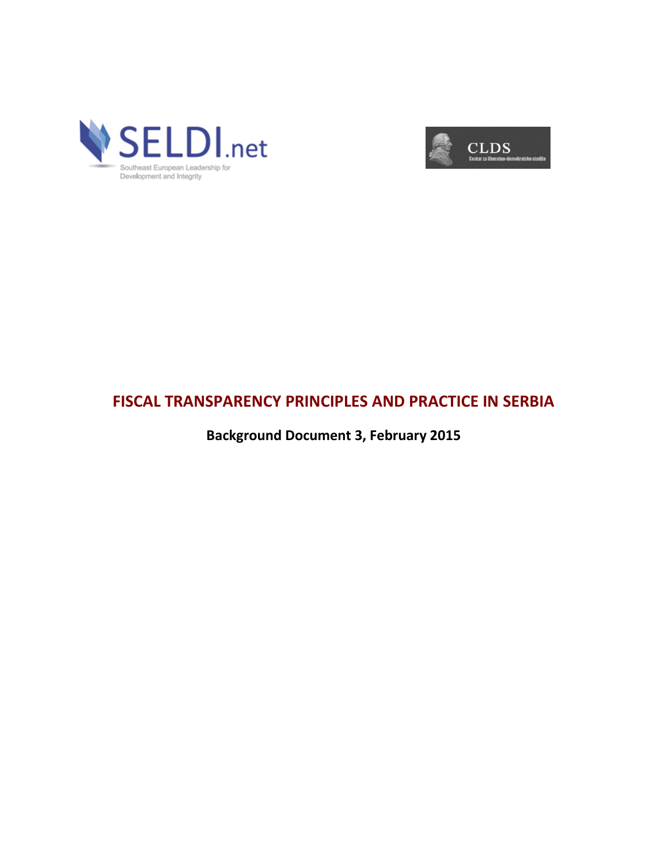



## **FISCAL TRANSPARENCY PRINCIPLES AND PRACTICE IN SERBIA**

**Background Document 3, February 2015**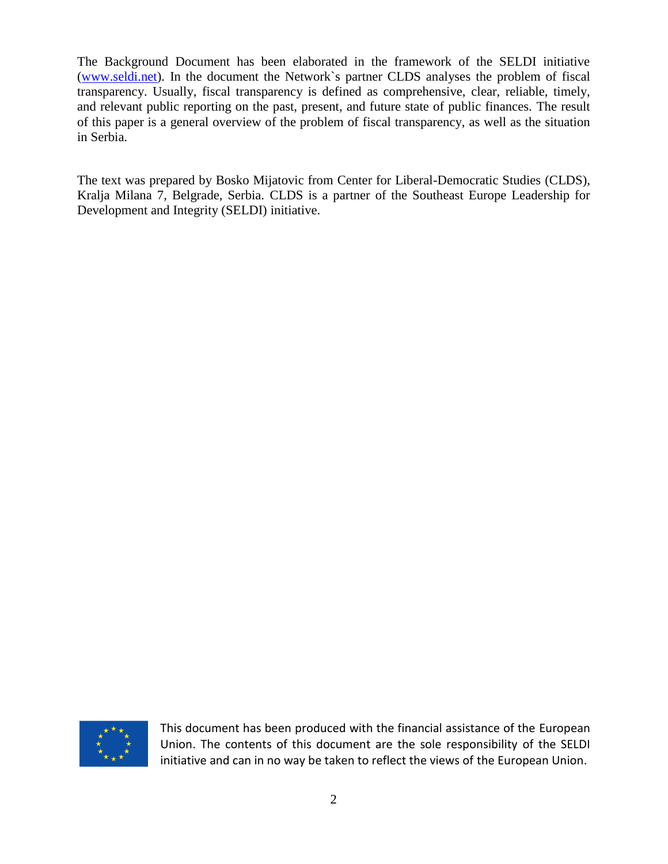The Background Document has been elaborated in the framework of the SELDI initiative [\(www.seldi.net\)](www.seldi.net). In the document the Network`s partner CLDS analyses the problem of fiscal transparency. Usually, fiscal transparency is defined as comprehensive, clear, reliable, timely, and relevant public reporting on the past, present, and future state of public finances. The result of this paper is a general overview of the problem of fiscal transparency, as well as the situation in Serbia.

The text was prepared by Bosko Mijatovic from Center for Liberal-Democratic Studies (CLDS), Kralja Milana 7, Belgrade, Serbia. CLDS is a partner of the Southeast Europe Leadership for Development and Integrity (SELDI) initiative.



This document has been produced with the financial assistance of the European Union. The contents of this document are the sole responsibility of the SELDI initiative and can in no way be taken to reflect the views of the European Union.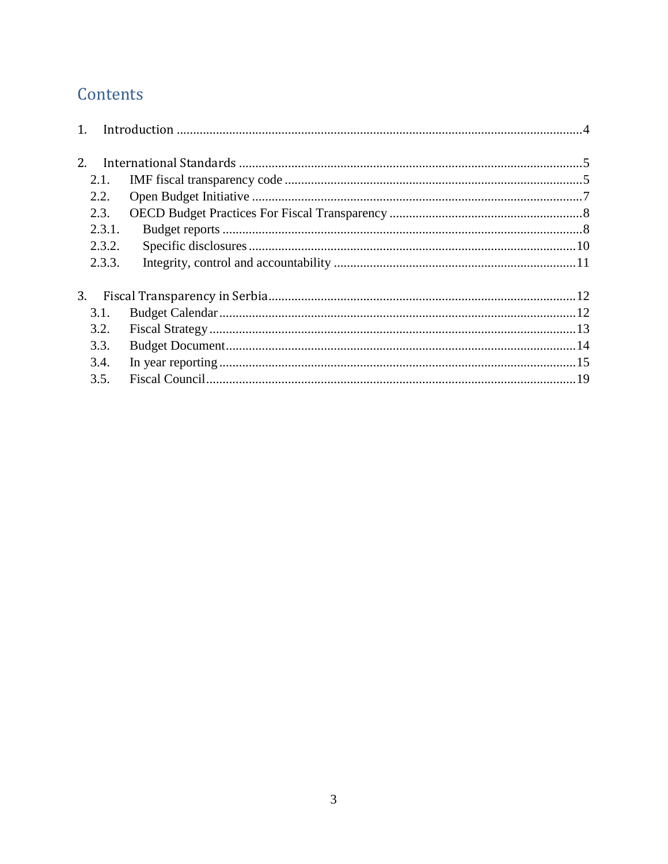# Contents

| $1_{-}$ |  |
|---------|--|
| 2.      |  |
| 2.1.    |  |
| 2.2.    |  |
| 2.3.    |  |
| 2.3.1.  |  |
| 2.3.2.  |  |
| 2.3.3.  |  |
| 3.      |  |
| 3.1.    |  |
| 3.2.    |  |
| 3.3.    |  |
| 3.4.    |  |
| 3.5.    |  |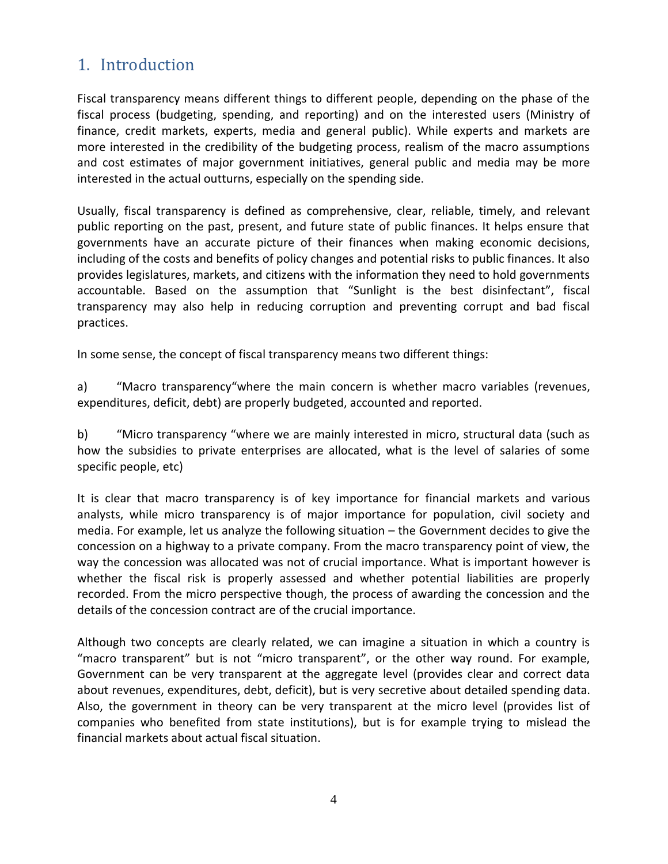# <span id="page-3-0"></span>1. Introduction

Fiscal transparency means different things to different people, depending on the phase of the fiscal process (budgeting, spending, and reporting) and on the interested users (Ministry of finance, credit markets, experts, media and general public). While experts and markets are more interested in the credibility of the budgeting process, realism of the macro assumptions and cost estimates of major government initiatives, general public and media may be more interested in the actual outturns, especially on the spending side.

Usually, fiscal transparency is defined as comprehensive, clear, reliable, timely, and relevant public reporting on the past, present, and future state of public finances. It helps ensure that governments have an accurate picture of their finances when making economic decisions, including of the costs and benefits of policy changes and potential risks to public finances. It also provides legislatures, markets, and citizens with the information they need to hold governments accountable. Based on the assumption that "Sunlight is the best disinfectant", fiscal transparency may also help in reducing corruption and preventing corrupt and bad fiscal practices.

In some sense, the concept of fiscal transparency means two different things:

a) "Macro transparency"where the main concern is whether macro variables (revenues, expenditures, deficit, debt) are properly budgeted, accounted and reported.

b) "Micro transparency "where we are mainly interested in micro, structural data (such as how the subsidies to private enterprises are allocated, what is the level of salaries of some specific people, etc)

It is clear that macro transparency is of key importance for financial markets and various analysts, while micro transparency is of major importance for population, civil society and media. For example, let us analyze the following situation – the Government decides to give the concession on a highway to a private company. From the macro transparency point of view, the way the concession was allocated was not of crucial importance. What is important however is whether the fiscal risk is properly assessed and whether potential liabilities are properly recorded. From the micro perspective though, the process of awarding the concession and the details of the concession contract are of the crucial importance.

Although two concepts are clearly related, we can imagine a situation in which a country is "macro transparent" but is not "micro transparent", or the other way round. For example, Government can be very transparent at the aggregate level (provides clear and correct data about revenues, expenditures, debt, deficit), but is very secretive about detailed spending data. Also, the government in theory can be very transparent at the micro level (provides list of companies who benefited from state institutions), but is for example trying to mislead the financial markets about actual fiscal situation.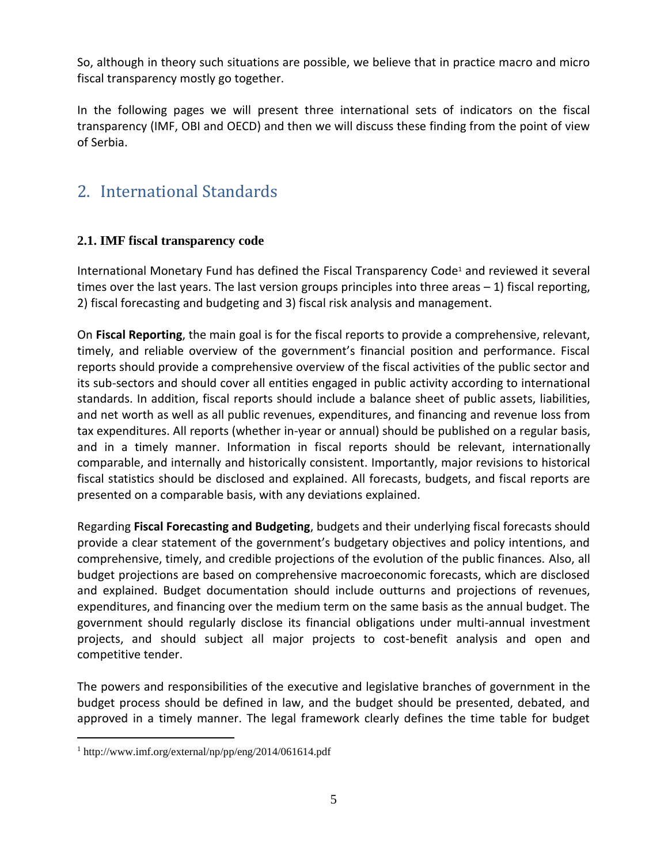So, although in theory such situations are possible, we believe that in practice macro and micro fiscal transparency mostly go together.

In the following pages we will present three international sets of indicators on the fiscal transparency (IMF, OBI and OECD) and then we will discuss these finding from the point of view of Serbia.

# <span id="page-4-0"></span>2. International Standards

### <span id="page-4-1"></span>**2.1. IMF fiscal transparency code**

International Monetary Fund has defined the Fiscal Transparency Code<sup>1</sup> and reviewed it several times over the last years. The last version groups principles into three areas – 1) fiscal reporting, 2) fiscal forecasting and budgeting and 3) fiscal risk analysis and management.

On **Fiscal Reporting**, the main goal is for the fiscal reports to provide a comprehensive, relevant, timely, and reliable overview of the government's financial position and performance. Fiscal reports should provide a comprehensive overview of the fiscal activities of the public sector and its sub-sectors and should cover all entities engaged in public activity according to international standards. In addition, fiscal reports should include a balance sheet of public assets, liabilities, and net worth as well as all public revenues, expenditures, and financing and revenue loss from tax expenditures. All reports (whether in-year or annual) should be published on a regular basis, and in a timely manner. Information in fiscal reports should be relevant, internationally comparable, and internally and historically consistent. Importantly, major revisions to historical fiscal statistics should be disclosed and explained. All forecasts, budgets, and fiscal reports are presented on a comparable basis, with any deviations explained.

Regarding **Fiscal Forecasting and Budgeting**, budgets and their underlying fiscal forecasts should provide a clear statement of the government's budgetary objectives and policy intentions, and comprehensive, timely, and credible projections of the evolution of the public finances. Also, all budget projections are based on comprehensive macroeconomic forecasts, which are disclosed and explained. Budget documentation should include outturns and projections of revenues, expenditures, and financing over the medium term on the same basis as the annual budget. The government should regularly disclose its financial obligations under multi-annual investment projects, and should subject all major projects to cost-benefit analysis and open and competitive tender.

The powers and responsibilities of the executive and legislative branches of government in the budget process should be defined in law, and the budget should be presented, debated, and approved in a timely manner. The legal framework clearly defines the time table for budget

<sup>1</sup> http://www.imf.org/external/np/pp/eng/2014/061614.pdf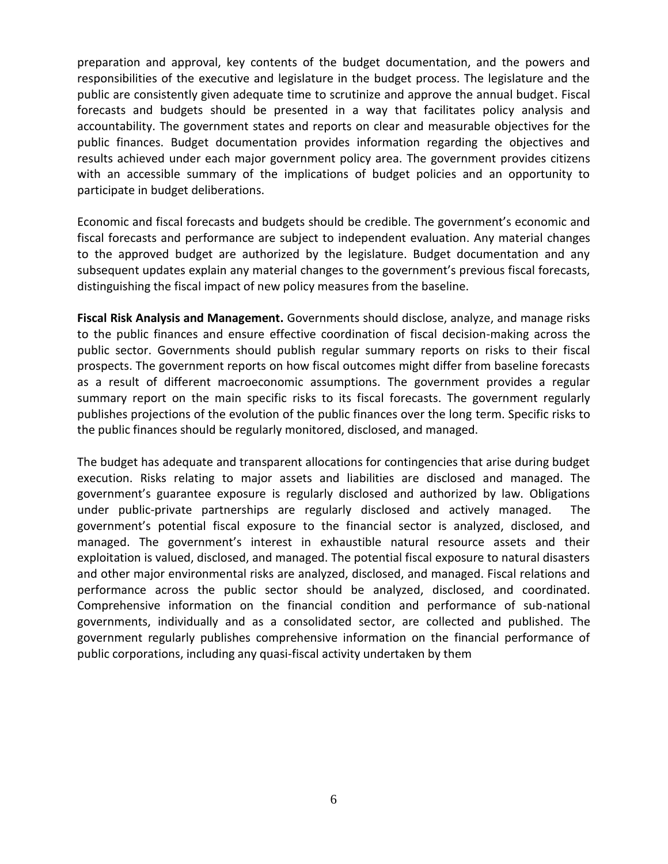preparation and approval, key contents of the budget documentation, and the powers and responsibilities of the executive and legislature in the budget process. The legislature and the public are consistently given adequate time to scrutinize and approve the annual budget. Fiscal forecasts and budgets should be presented in a way that facilitates policy analysis and accountability. The government states and reports on clear and measurable objectives for the public finances. Budget documentation provides information regarding the objectives and results achieved under each major government policy area. The government provides citizens with an accessible summary of the implications of budget policies and an opportunity to participate in budget deliberations.

Economic and fiscal forecasts and budgets should be credible. The government's economic and fiscal forecasts and performance are subject to independent evaluation. Any material changes to the approved budget are authorized by the legislature. Budget documentation and any subsequent updates explain any material changes to the government's previous fiscal forecasts, distinguishing the fiscal impact of new policy measures from the baseline.

**Fiscal Risk Analysis and Management.** Governments should disclose, analyze, and manage risks to the public finances and ensure effective coordination of fiscal decision-making across the public sector. Governments should publish regular summary reports on risks to their fiscal prospects. The government reports on how fiscal outcomes might differ from baseline forecasts as a result of different macroeconomic assumptions. The government provides a regular summary report on the main specific risks to its fiscal forecasts. The government regularly publishes projections of the evolution of the public finances over the long term. Specific risks to the public finances should be regularly monitored, disclosed, and managed.

The budget has adequate and transparent allocations for contingencies that arise during budget execution. Risks relating to major assets and liabilities are disclosed and managed. The government's guarantee exposure is regularly disclosed and authorized by law. Obligations under public-private partnerships are regularly disclosed and actively managed. The government's potential fiscal exposure to the financial sector is analyzed, disclosed, and managed. The government's interest in exhaustible natural resource assets and their exploitation is valued, disclosed, and managed. The potential fiscal exposure to natural disasters and other major environmental risks are analyzed, disclosed, and managed. Fiscal relations and performance across the public sector should be analyzed, disclosed, and coordinated. Comprehensive information on the financial condition and performance of sub-national governments, individually and as a consolidated sector, are collected and published. The government regularly publishes comprehensive information on the financial performance of public corporations, including any quasi-fiscal activity undertaken by them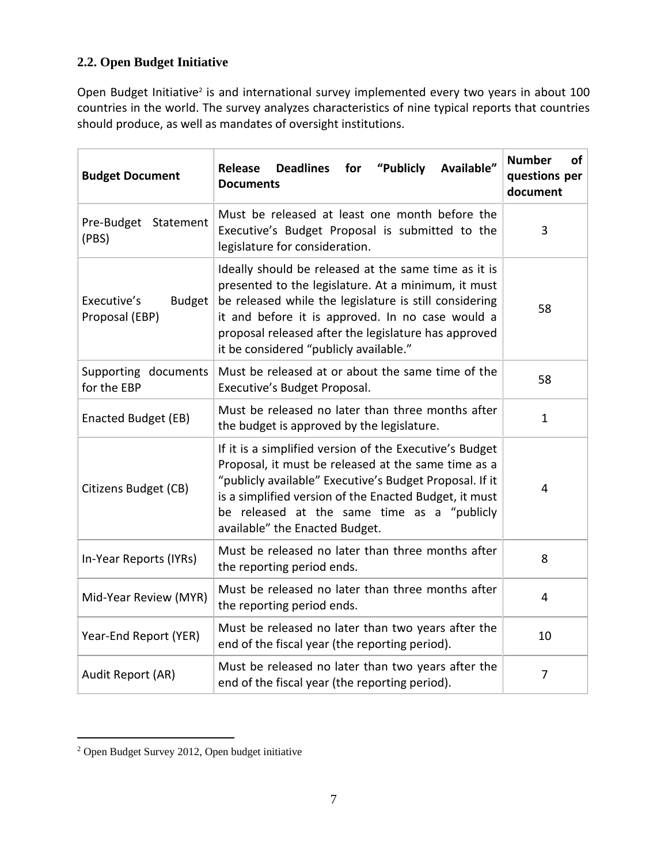### <span id="page-6-0"></span>**2.2. Open Budget Initiative**

Open Budget Initiative<sup>2</sup> is and international survey implemented every two years in about 100 countries in the world. The survey analyzes characteristics of nine typical reports that countries should produce, as well as mandates of oversight institutions.

| <b>Budget Document</b>                         | Available"<br><b>Deadlines</b><br>"Publicly<br>Release<br>for<br><b>Documents</b>                                                                                                                                                                                                                                           | <b>Number</b><br><b>of</b><br>questions per<br>document |
|------------------------------------------------|-----------------------------------------------------------------------------------------------------------------------------------------------------------------------------------------------------------------------------------------------------------------------------------------------------------------------------|---------------------------------------------------------|
| Pre-Budget Statement<br>(PBS)                  | Must be released at least one month before the<br>Executive's Budget Proposal is submitted to the<br>legislature for consideration.                                                                                                                                                                                         | 3                                                       |
| <b>Budget</b><br>Executive's<br>Proposal (EBP) | Ideally should be released at the same time as it is<br>presented to the legislature. At a minimum, it must<br>be released while the legislature is still considering<br>it and before it is approved. In no case would a<br>proposal released after the legislature has approved<br>it be considered "publicly available." | 58                                                      |
| Supporting documents<br>for the EBP            | Must be released at or about the same time of the<br>Executive's Budget Proposal.                                                                                                                                                                                                                                           | 58                                                      |
| Enacted Budget (EB)                            | Must be released no later than three months after<br>the budget is approved by the legislature.                                                                                                                                                                                                                             | $\mathbf{1}$                                            |
| Citizens Budget (CB)                           | If it is a simplified version of the Executive's Budget<br>Proposal, it must be released at the same time as a<br>"publicly available" Executive's Budget Proposal. If it<br>is a simplified version of the Enacted Budget, it must<br>be released at the same time as a "publicly<br>available" the Enacted Budget.        | 4                                                       |
| In-Year Reports (IYRs)                         | Must be released no later than three months after<br>the reporting period ends.                                                                                                                                                                                                                                             | 8                                                       |
| Mid-Year Review (MYR)                          | Must be released no later than three months after<br>the reporting period ends.                                                                                                                                                                                                                                             | 4                                                       |
| Year-End Report (YER)                          | Must be released no later than two years after the<br>end of the fiscal year (the reporting period).                                                                                                                                                                                                                        | 10                                                      |
| Audit Report (AR)                              | Must be released no later than two years after the<br>end of the fiscal year (the reporting period).                                                                                                                                                                                                                        | 7                                                       |

<sup>2</sup> Open Budget Survey 2012, Open budget initiative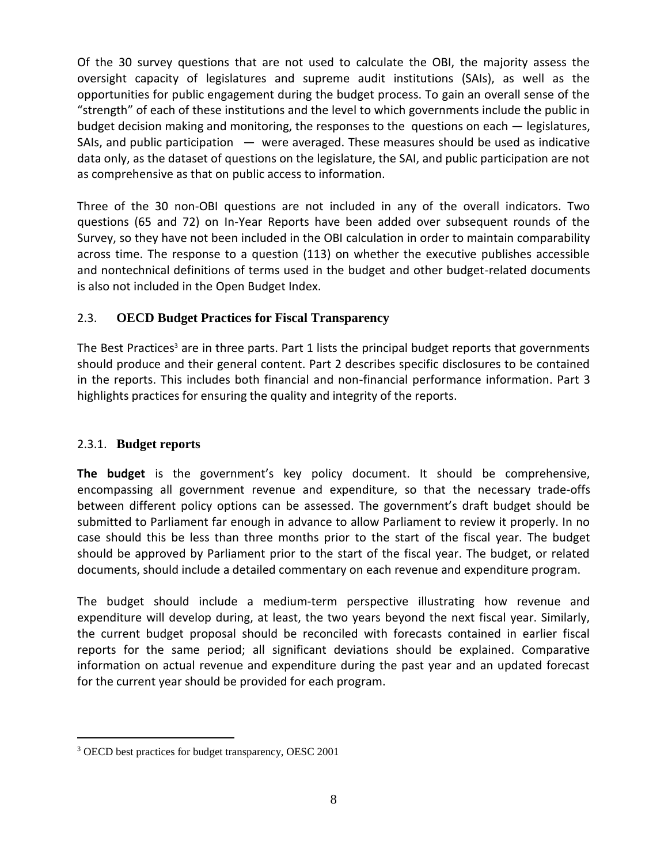Of the 30 survey questions that are not used to calculate the OBI, the majority assess the oversight capacity of legislatures and supreme audit institutions (SAIs), as well as the opportunities for public engagement during the budget process. To gain an overall sense of the "strength" of each of these institutions and the level to which governments include the public in budget decision making and monitoring, the responses to the questions on each — legislatures, SAIs, and public participation  $-$  were averaged. These measures should be used as indicative data only, as the dataset of questions on the legislature, the SAI, and public participation are not as comprehensive as that on public access to information.

Three of the 30 non-OBI questions are not included in any of the overall indicators. Two questions (65 and 72) on In-Year Reports have been added over subsequent rounds of the Survey, so they have not been included in the OBI calculation in order to maintain comparability across time. The response to a question (113) on whether the executive publishes accessible and nontechnical definitions of terms used in the budget and other budget-related documents is also not included in the Open Budget Index.

### <span id="page-7-0"></span>2.3. **OECD Budget Practices for Fiscal Transparency**

The Best Practices<sup>3</sup> are in three parts. Part 1 lists the principal budget reports that governments should produce and their general content. Part 2 describes specific disclosures to be contained in the reports. This includes both financial and non-financial performance information. Part 3 highlights practices for ensuring the quality and integrity of the reports.

### <span id="page-7-1"></span>2.3.1. **Budget reports**

 $\overline{a}$ 

**The budget** is the government's key policy document. It should be comprehensive, encompassing all government revenue and expenditure, so that the necessary trade-offs between different policy options can be assessed. The government's draft budget should be submitted to Parliament far enough in advance to allow Parliament to review it properly. In no case should this be less than three months prior to the start of the fiscal year. The budget should be approved by Parliament prior to the start of the fiscal year. The budget, or related documents, should include a detailed commentary on each revenue and expenditure program.

The budget should include a medium-term perspective illustrating how revenue and expenditure will develop during, at least, the two years beyond the next fiscal year. Similarly, the current budget proposal should be reconciled with forecasts contained in earlier fiscal reports for the same period; all significant deviations should be explained. Comparative information on actual revenue and expenditure during the past year and an updated forecast for the current year should be provided for each program.

<sup>3</sup> OECD best practices for budget transparency, OESC 2001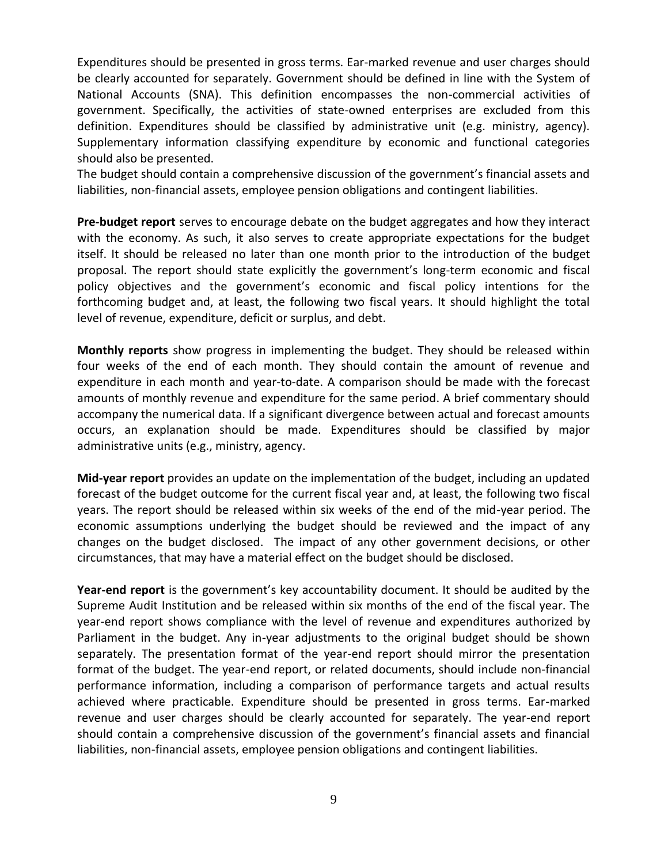Expenditures should be presented in gross terms. Ear-marked revenue and user charges should be clearly accounted for separately. Government should be defined in line with the System of National Accounts (SNA). This definition encompasses the non-commercial activities of government. Specifically, the activities of state-owned enterprises are excluded from this definition. Expenditures should be classified by administrative unit (e.g. ministry, agency). Supplementary information classifying expenditure by economic and functional categories should also be presented.

The budget should contain a comprehensive discussion of the government's financial assets and liabilities, non-financial assets, employee pension obligations and contingent liabilities.

**Pre-budget report** serves to encourage debate on the budget aggregates and how they interact with the economy. As such, it also serves to create appropriate expectations for the budget itself. It should be released no later than one month prior to the introduction of the budget proposal. The report should state explicitly the government's long-term economic and fiscal policy objectives and the government's economic and fiscal policy intentions for the forthcoming budget and, at least, the following two fiscal years. It should highlight the total level of revenue, expenditure, deficit or surplus, and debt.

**Monthly reports** show progress in implementing the budget. They should be released within four weeks of the end of each month. They should contain the amount of revenue and expenditure in each month and year-to-date. A comparison should be made with the forecast amounts of monthly revenue and expenditure for the same period. A brief commentary should accompany the numerical data. If a significant divergence between actual and forecast amounts occurs, an explanation should be made. Expenditures should be classified by major administrative units (e.g., ministry, agency.

**Mid-year report** provides an update on the implementation of the budget, including an updated forecast of the budget outcome for the current fiscal year and, at least, the following two fiscal years. The report should be released within six weeks of the end of the mid-year period. The economic assumptions underlying the budget should be reviewed and the impact of any changes on the budget disclosed. The impact of any other government decisions, or other circumstances, that may have a material effect on the budget should be disclosed.

**Year-end report** is the government's key accountability document. It should be audited by the Supreme Audit Institution and be released within six months of the end of the fiscal year. The year-end report shows compliance with the level of revenue and expenditures authorized by Parliament in the budget. Any in-year adjustments to the original budget should be shown separately. The presentation format of the year-end report should mirror the presentation format of the budget. The year-end report, or related documents, should include non-financial performance information, including a comparison of performance targets and actual results achieved where practicable. Expenditure should be presented in gross terms. Ear-marked revenue and user charges should be clearly accounted for separately. The year-end report should contain a comprehensive discussion of the government's financial assets and financial liabilities, non-financial assets, employee pension obligations and contingent liabilities.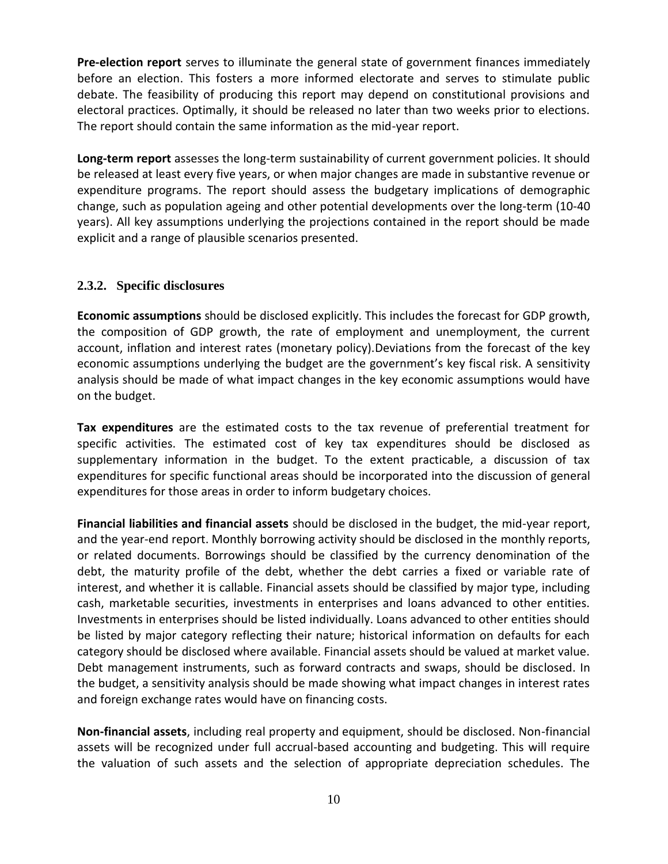**Pre-election report** serves to illuminate the general state of government finances immediately before an election. This fosters a more informed electorate and serves to stimulate public debate. The feasibility of producing this report may depend on constitutional provisions and electoral practices. Optimally, it should be released no later than two weeks prior to elections. The report should contain the same information as the mid-year report.

**Long-term report** assesses the long-term sustainability of current government policies. It should be released at least every five years, or when major changes are made in substantive revenue or expenditure programs. The report should assess the budgetary implications of demographic change, such as population ageing and other potential developments over the long-term (10-40 years). All key assumptions underlying the projections contained in the report should be made explicit and a range of plausible scenarios presented.

### <span id="page-9-0"></span>**2.3.2. Specific disclosures**

**Economic assumptions** should be disclosed explicitly. This includes the forecast for GDP growth, the composition of GDP growth, the rate of employment and unemployment, the current account, inflation and interest rates (monetary policy).Deviations from the forecast of the key economic assumptions underlying the budget are the government's key fiscal risk. A sensitivity analysis should be made of what impact changes in the key economic assumptions would have on the budget.

**Tax expenditures** are the estimated costs to the tax revenue of preferential treatment for specific activities. The estimated cost of key tax expenditures should be disclosed as supplementary information in the budget. To the extent practicable, a discussion of tax expenditures for specific functional areas should be incorporated into the discussion of general expenditures for those areas in order to inform budgetary choices.

**Financial liabilities and financial assets** should be disclosed in the budget, the mid-year report, and the year-end report. Monthly borrowing activity should be disclosed in the monthly reports, or related documents. Borrowings should be classified by the currency denomination of the debt, the maturity profile of the debt, whether the debt carries a fixed or variable rate of interest, and whether it is callable. Financial assets should be classified by major type, including cash, marketable securities, investments in enterprises and loans advanced to other entities. Investments in enterprises should be listed individually. Loans advanced to other entities should be listed by major category reflecting their nature; historical information on defaults for each category should be disclosed where available. Financial assets should be valued at market value. Debt management instruments, such as forward contracts and swaps, should be disclosed. In the budget, a sensitivity analysis should be made showing what impact changes in interest rates and foreign exchange rates would have on financing costs.

**Non-financial assets**, including real property and equipment, should be disclosed. Non-financial assets will be recognized under full accrual-based accounting and budgeting. This will require the valuation of such assets and the selection of appropriate depreciation schedules. The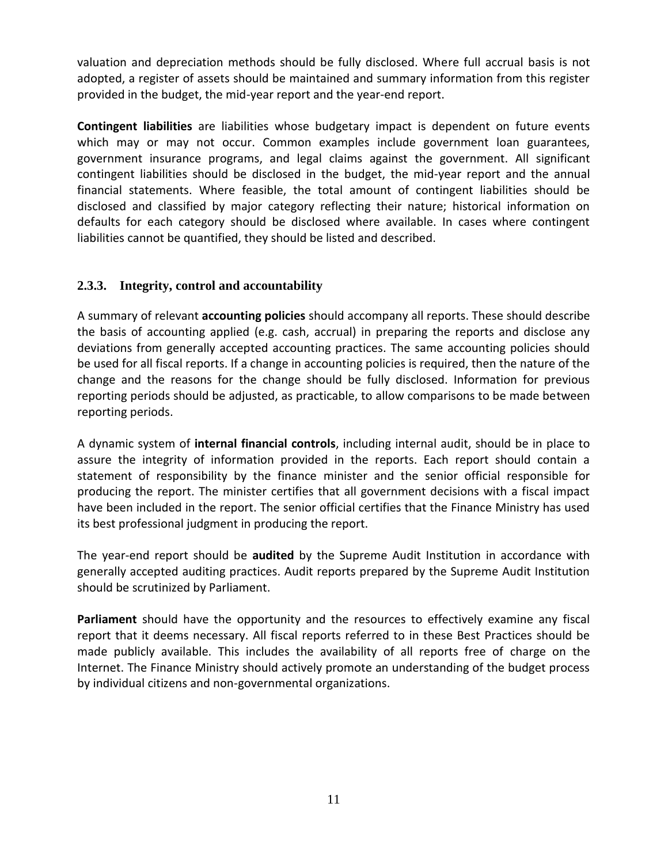valuation and depreciation methods should be fully disclosed. Where full accrual basis is not adopted, a register of assets should be maintained and summary information from this register provided in the budget, the mid-year report and the year-end report.

**Contingent liabilities** are liabilities whose budgetary impact is dependent on future events which may or may not occur. Common examples include government loan guarantees, government insurance programs, and legal claims against the government. All significant contingent liabilities should be disclosed in the budget, the mid-year report and the annual financial statements. Where feasible, the total amount of contingent liabilities should be disclosed and classified by major category reflecting their nature; historical information on defaults for each category should be disclosed where available. In cases where contingent liabilities cannot be quantified, they should be listed and described.

### <span id="page-10-0"></span>**2.3.3. Integrity, control and accountability**

A summary of relevant **accounting policies** should accompany all reports. These should describe the basis of accounting applied (e.g. cash, accrual) in preparing the reports and disclose any deviations from generally accepted accounting practices. The same accounting policies should be used for all fiscal reports. If a change in accounting policies is required, then the nature of the change and the reasons for the change should be fully disclosed. Information for previous reporting periods should be adjusted, as practicable, to allow comparisons to be made between reporting periods.

A dynamic system of **internal financial controls**, including internal audit, should be in place to assure the integrity of information provided in the reports. Each report should contain a statement of responsibility by the finance minister and the senior official responsible for producing the report. The minister certifies that all government decisions with a fiscal impact have been included in the report. The senior official certifies that the Finance Ministry has used its best professional judgment in producing the report.

The year-end report should be **audited** by the Supreme Audit Institution in accordance with generally accepted auditing practices. Audit reports prepared by the Supreme Audit Institution should be scrutinized by Parliament.

**Parliament** should have the opportunity and the resources to effectively examine any fiscal report that it deems necessary. All fiscal reports referred to in these Best Practices should be made publicly available. This includes the availability of all reports free of charge on the Internet. The Finance Ministry should actively promote an understanding of the budget process by individual citizens and non-governmental organizations.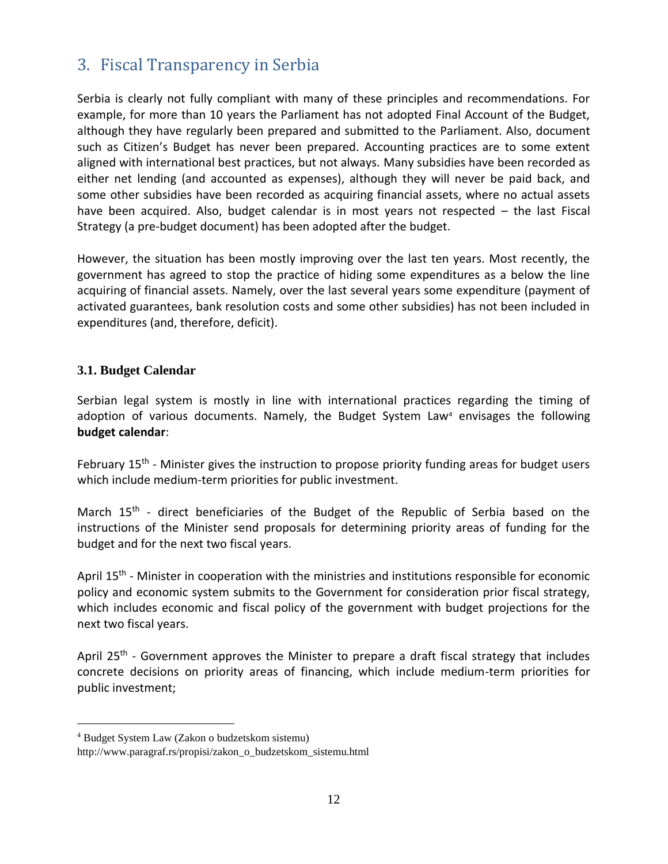# <span id="page-11-0"></span>3. Fiscal Transparency in Serbia

Serbia is clearly not fully compliant with many of these principles and recommendations. For example, for more than 10 years the Parliament has not adopted Final Account of the Budget, although they have regularly been prepared and submitted to the Parliament. Also, document such as Citizen's Budget has never been prepared. Accounting practices are to some extent aligned with international best practices, but not always. Many subsidies have been recorded as either net lending (and accounted as expenses), although they will never be paid back, and some other subsidies have been recorded as acquiring financial assets, where no actual assets have been acquired. Also, budget calendar is in most years not respected – the last Fiscal Strategy (a pre-budget document) has been adopted after the budget.

However, the situation has been mostly improving over the last ten years. Most recently, the government has agreed to stop the practice of hiding some expenditures as a below the line acquiring of financial assets. Namely, over the last several years some expenditure (payment of activated guarantees, bank resolution costs and some other subsidies) has not been included in expenditures (and, therefore, deficit).

### <span id="page-11-1"></span>**3.1. Budget Calendar**

Serbian legal system is mostly in line with international practices regarding the timing of adoption of various documents. Namely, the Budget System Law<sup>4</sup> envisages the following **budget calendar**:

February 15<sup>th</sup> - Minister gives the instruction to propose priority funding areas for budget users which include medium-term priorities for public investment.

March 15<sup>th</sup> - direct beneficiaries of the Budget of the Republic of Serbia based on the instructions of the Minister send proposals for determining priority areas of funding for the budget and for the next two fiscal years.

April 15<sup>th</sup> - Minister in cooperation with the ministries and institutions responsible for economic policy and economic system submits to the Government for consideration prior fiscal strategy, which includes economic and fiscal policy of the government with budget projections for the next two fiscal years.

April 25<sup>th</sup> - Government approves the Minister to prepare a draft fiscal strategy that includes concrete decisions on priority areas of financing, which include medium-term priorities for public investment;

<sup>4</sup> Budget System Law (Zakon o budzetskom sistemu)

http://www.paragraf.rs/propisi/zakon\_o\_budzetskom\_sistemu.html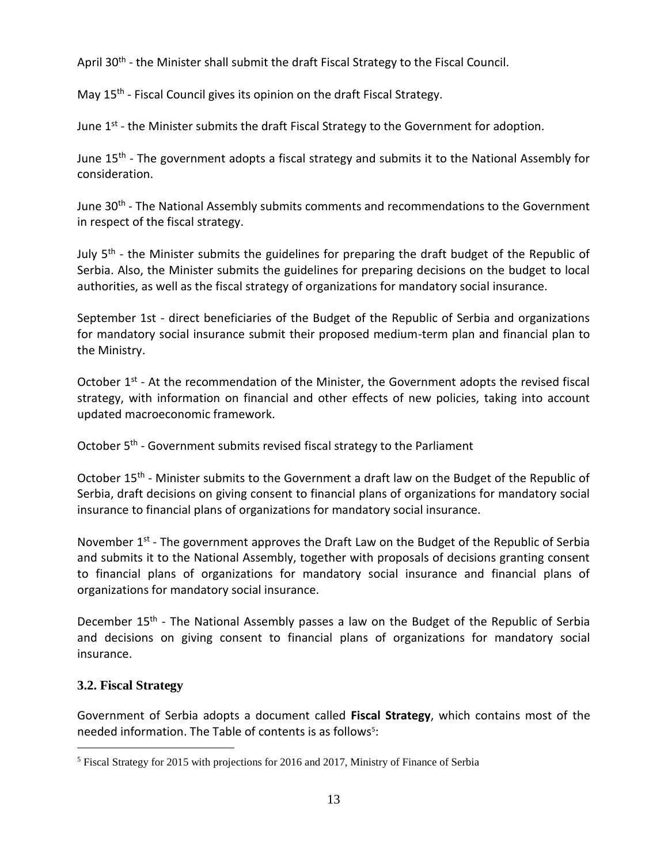April 30<sup>th</sup> - the Minister shall submit the draft Fiscal Strategy to the Fiscal Council.

May 15<sup>th</sup> - Fiscal Council gives its opinion on the draft Fiscal Strategy.

June 1<sup>st</sup> - the Minister submits the draft Fiscal Strategy to the Government for adoption.

June 15<sup>th</sup> - The government adopts a fiscal strategy and submits it to the National Assembly for consideration.

June 30<sup>th</sup> - The National Assembly submits comments and recommendations to the Government in respect of the fiscal strategy.

July 5<sup>th</sup> - the Minister submits the guidelines for preparing the draft budget of the Republic of Serbia. Also, the Minister submits the guidelines for preparing decisions on the budget to local authorities, as well as the fiscal strategy of organizations for mandatory social insurance.

September 1st - direct beneficiaries of the Budget of the Republic of Serbia and organizations for mandatory social insurance submit their proposed medium-term plan and financial plan to the Ministry.

October 1<sup>st</sup> - At the recommendation of the Minister, the Government adopts the revised fiscal strategy, with information on financial and other effects of new policies, taking into account updated macroeconomic framework.

October 5<sup>th</sup> - Government submits revised fiscal strategy to the Parliament

October 15<sup>th</sup> - Minister submits to the Government a draft law on the Budget of the Republic of Serbia, draft decisions on giving consent to financial plans of organizations for mandatory social insurance to financial plans of organizations for mandatory social insurance.

November 1<sup>st</sup> - The government approves the Draft Law on the Budget of the Republic of Serbia and submits it to the National Assembly, together with proposals of decisions granting consent to financial plans of organizations for mandatory social insurance and financial plans of organizations for mandatory social insurance.

December 15<sup>th</sup> - The National Assembly passes a law on the Budget of the Republic of Serbia and decisions on giving consent to financial plans of organizations for mandatory social insurance.

### <span id="page-12-0"></span>**3.2. Fiscal Strategy**

 $\overline{a}$ 

Government of Serbia adopts a document called **Fiscal Strategy**, which contains most of the needed information. The Table of contents is as follows<sup>5</sup>:

<sup>5</sup> Fiscal Strategy for 2015 with projections for 2016 and 2017, Ministry of Finance of Serbia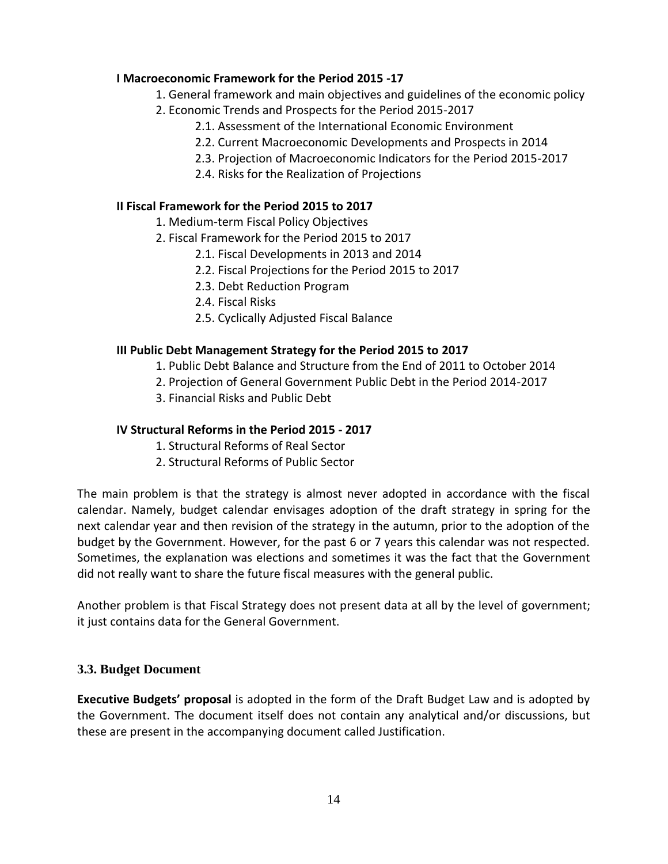#### **I Macroeconomic Framework for the Period 2015 -17**

- 1. General framework and main objectives and guidelines of the economic policy
- 2. Economic Trends and Prospects for the Period 2015-2017
	- 2.1. Assessment of the International Economic Environment
	- 2.2. Current Macroeconomic Developments and Prospects in 2014
	- 2.3. Projection of Macroeconomic Indicators for the Period 2015-2017
	- 2.4. Risks for the Realization of Projections

#### **II Fiscal Framework for the Period 2015 to 2017**

- 1. Medium-term Fiscal Policy Objectives
- 2. Fiscal Framework for the Period 2015 to 2017
	- 2.1. Fiscal Developments in 2013 and 2014
	- 2.2. Fiscal Projections for the Period 2015 to 2017
	- 2.3. Debt Reduction Program
	- 2.4. Fiscal Risks
	- 2.5. Cyclically Adjusted Fiscal Balance

### **III Public Debt Management Strategy for the Period 2015 to 2017**

- 1. Public Debt Balance and Structure from the End of 2011 to October 2014
- 2. Projection of General Government Public Debt in the Period 2014-2017
- 3. Financial Risks and Public Debt

### **IV Structural Reforms in the Period 2015 - 2017**

- 1. Structural Reforms of Real Sector
- 2. Structural Reforms of Public Sector

The main problem is that the strategy is almost never adopted in accordance with the fiscal calendar. Namely, budget calendar envisages adoption of the draft strategy in spring for the next calendar year and then revision of the strategy in the autumn, prior to the adoption of the budget by the Government. However, for the past 6 or 7 years this calendar was not respected. Sometimes, the explanation was elections and sometimes it was the fact that the Government did not really want to share the future fiscal measures with the general public.

Another problem is that Fiscal Strategy does not present data at all by the level of government; it just contains data for the General Government.

### <span id="page-13-0"></span>**3.3. Budget Document**

**Executive Budgets' proposal** is adopted in the form of the Draft Budget Law and is adopted by the Government. The document itself does not contain any analytical and/or discussions, but these are present in the accompanying document called Justification.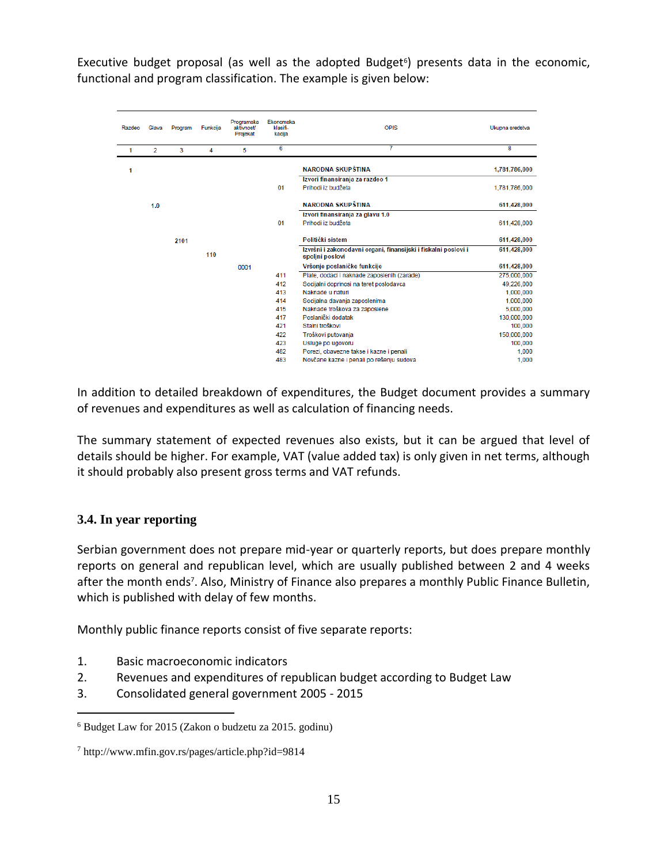Executive budget proposal (as well as the adopted Budget<sup>6</sup>) presents data in the economic, functional and program classification. The example is given below:

| Razdeo | Glava          | Program | Funkcija | Programska<br>aktivnost/<br>Projekat | Ekonomska<br>klasifi-<br>kacija | <b>OPIS</b>                                                                       | Ukupna sredstva |
|--------|----------------|---------|----------|--------------------------------------|---------------------------------|-----------------------------------------------------------------------------------|-----------------|
| 1      | $\overline{2}$ | 3       | 4        | 5                                    | 6                               | 7                                                                                 | 8               |
| 1      |                |         |          |                                      |                                 | <b>NARODNA SKUPŠTINA</b>                                                          | 1,781,786,000   |
|        |                |         |          |                                      |                                 | Izvori finansirania za razdeo 1                                                   |                 |
|        |                |         |          |                                      | 01                              | Prihodi iz budžeta                                                                | 1,781,786,000   |
|        | 1.0            |         |          |                                      |                                 | <b>NARODNA SKUPŠTINA</b>                                                          | 611,428,000     |
|        |                |         |          |                                      |                                 | Izvori finansiranja za glavu 1.0                                                  |                 |
|        |                |         |          |                                      | 01                              | Prihodi iz budžeta                                                                | 611,428,000     |
|        |                | 2101    |          |                                      |                                 | Politički sistem                                                                  | 611.428.000     |
|        |                |         | 110      |                                      |                                 | Izvršni i zakonodavni organi, finansijski i fiskalni poslovi i<br>spoljni poslovi | 611,428,000     |
|        |                |         |          | 0001                                 |                                 | Vršenje poslaničke funkcije                                                       | 611.428.000     |
|        |                |         |          |                                      | 411                             | Plate, dodaci i naknade zaposlenih (zarade)                                       | 275,000,000     |
|        |                |         |          |                                      | 412                             | Socijalni doprinosi na teret poslodavca                                           | 49,226,000      |
|        |                |         |          |                                      | 413                             | Naknade u naturi                                                                  | 1,000,000       |
|        |                |         |          |                                      | 414                             | Socijalna davanja zaposlenima                                                     | 1.000.000       |
|        |                |         |          |                                      | 415                             | Naknade troškova za zaposlene                                                     | 5,000,000       |
|        |                |         |          |                                      | 417                             | Poslanički dodatak                                                                | 130.000.000     |
|        |                |         |          |                                      | 421                             | Stalni troškovi                                                                   | 100,000         |
|        |                |         |          |                                      | 422                             | Troškovi putovanja                                                                | 150,000,000     |
|        |                |         |          |                                      | 423                             | Usluge po ugovoru                                                                 | 100,000         |
|        |                |         |          |                                      | 482                             | Porezi, obavezne takse i kazne i penali                                           | 1.000           |
|        |                |         |          |                                      | 483                             | Novčane kazne i penali po rešeniu sudova                                          | 1.000           |

In addition to detailed breakdown of expenditures, the Budget document provides a summary of revenues and expenditures as well as calculation of financing needs.

The summary statement of expected revenues also exists, but it can be argued that level of details should be higher. For example, VAT (value added tax) is only given in net terms, although it should probably also present gross terms and VAT refunds.

### <span id="page-14-0"></span>**3.4. In year reporting**

 $\overline{a}$ 

Serbian government does not prepare mid-year or quarterly reports, but does prepare monthly reports on general and republican level, which are usually published between 2 and 4 weeks after the month ends<sup>7</sup>. Also, Ministry of Finance also prepares a monthly Public Finance Bulletin, which is published with delay of few months.

Monthly public finance reports consist of five separate reports:

- 1. [Basic macroeconomic indicators](http://www.mfin.gov.rs/UserFiles/File/tabele/2015%20februar/Tabela%201-Osnovni%20makroekonomski%20indikatori-decembar-ENG.xlsx)
- 2. [Revenues and expenditures of republican budget according to Budget Law](http://www.mfin.gov.rs/UserFiles/File/tabele/2015%20februar/Table%202%20Budget.xlsx)
- 3. [Consolidated general government 2005 -](http://www.mfin.gov.rs/UserFiles/File/tabele/2015%20februar/Table%203%20Consolidated%20General%20Government.xlsx) 2015

<sup>6</sup> Budget Law for 2015 (Zakon o budzetu za 2015. godinu)

<sup>7</sup> http://www.mfin.gov.rs/pages/article.php?id=9814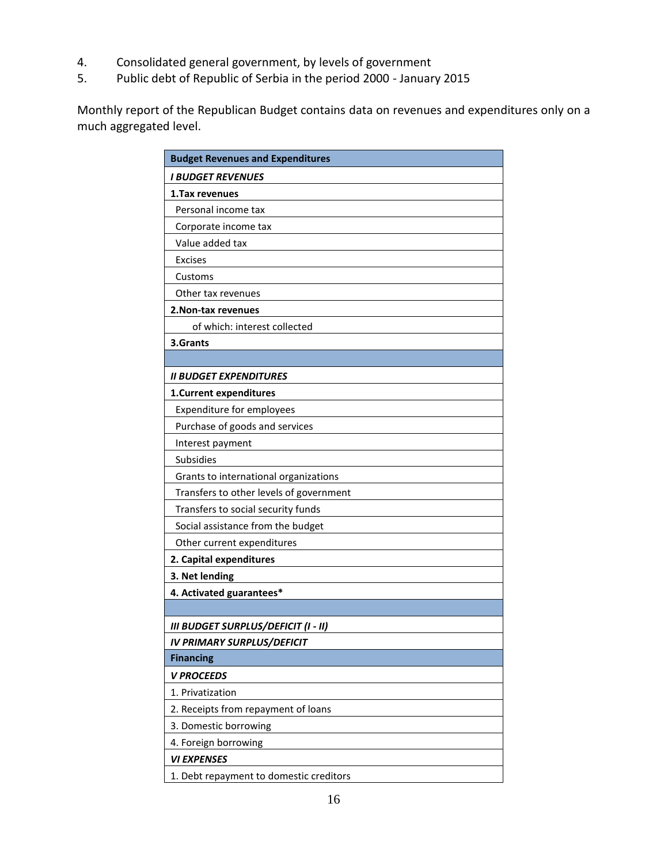- 4. [Consolidated general government, by levels of government](http://www.mfin.gov.rs/UserFiles/File/tabele/2015%20februar/Table%204%20Consolidated%20General%20Government%20by%20Levels.xlsx)<br>5. Public debt of Republic of Serbia in the period 2000 Januar
- 5. [Public debt of Republic of Serbia in the period 2000 -](http://www.mfin.gov.rs/UserFiles/File/tabele/2015%20februar/Table%205%20Public%20debt.xlsx) January 2015

Monthly report of the Republican Budget contains data on revenues and expenditures only on a much aggregated level.

| <b>Budget Revenues and Expenditures</b>    |
|--------------------------------------------|
| <b>I BUDGET REVENUES</b>                   |
| 1.Tax revenues                             |
| Personal income tax                        |
| Corporate income tax                       |
| Value added tax                            |
| <b>Excises</b>                             |
| Customs                                    |
| Other tax revenues                         |
| 2. Non-tax revenues                        |
| of which: interest collected               |
| 3.Grants                                   |
|                                            |
| <b>II BUDGET EXPENDITURES</b>              |
| 1. Current expenditures                    |
| <b>Expenditure for employees</b>           |
| Purchase of goods and services             |
| Interest payment                           |
| <b>Subsidies</b>                           |
| Grants to international organizations      |
| Transfers to other levels of government    |
| Transfers to social security funds         |
| Social assistance from the budget          |
| Other current expenditures                 |
| 2. Capital expenditures                    |
| 3. Net lending                             |
| 4. Activated guarantees*                   |
|                                            |
| <b>III BUDGET SURPLUS/DEFICIT (I - II)</b> |
| <b>IV PRIMARY SURPLUS/DEFICIT</b>          |
| <b>Financing</b>                           |
| <b>V PROCEEDS</b>                          |
| 1. Privatization                           |
| 2. Receipts from repayment of loans        |
| 3. Domestic borrowing                      |
| 4. Foreign borrowing                       |
| <b>VI EXPENSES</b>                         |
| 1. Debt repayment to domestic creditors    |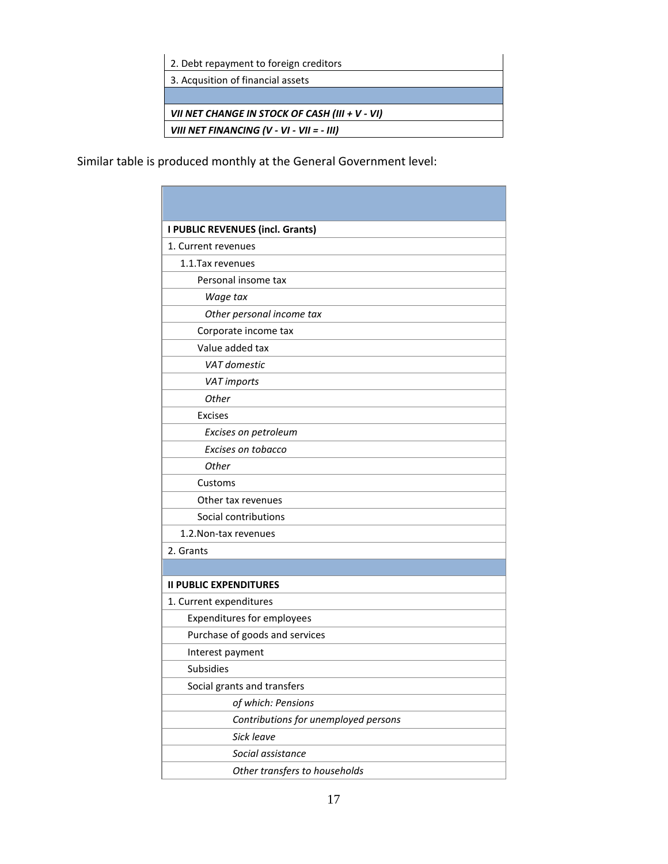2. Debt repayment to foreign creditors

3. Acqusition of financial assets

*VII NET CHANGE IN STOCK OF CASH (III + V - VI)*

```
VIII NET FINANCING (V - VI - VII = - III)
```
Similar table is produced monthly at the General Government level:

| I PUBLIC REVENUES (incl. Grants)     |
|--------------------------------------|
| 1. Current revenues                  |
| 1.1. Tax revenues                    |
| Personal insome tax                  |
| Wage tax                             |
| Other personal income tax            |
| Corporate income tax                 |
| Value added tax                      |
| VAT domestic                         |
| VAT imports                          |
| Other                                |
| <b>Excises</b>                       |
| Excises on petroleum                 |
| Excises on tobacco                   |
| Other                                |
| Customs                              |
| Other tax revenues                   |
| Social contributions                 |
| 1.2. Non-tax revenues                |
| 2. Grants                            |
|                                      |
| <b>II PUBLIC EXPENDITURES</b>        |
| 1. Current expenditures              |
| <b>Expenditures for employees</b>    |
| Purchase of goods and services       |
| Interest payment                     |
| <b>Subsidies</b>                     |
| Social grants and transfers          |
| of which: Pensions                   |
| Contributions for unemployed persons |
| Sick leave                           |
| Social assistance                    |
| Other transfers to households        |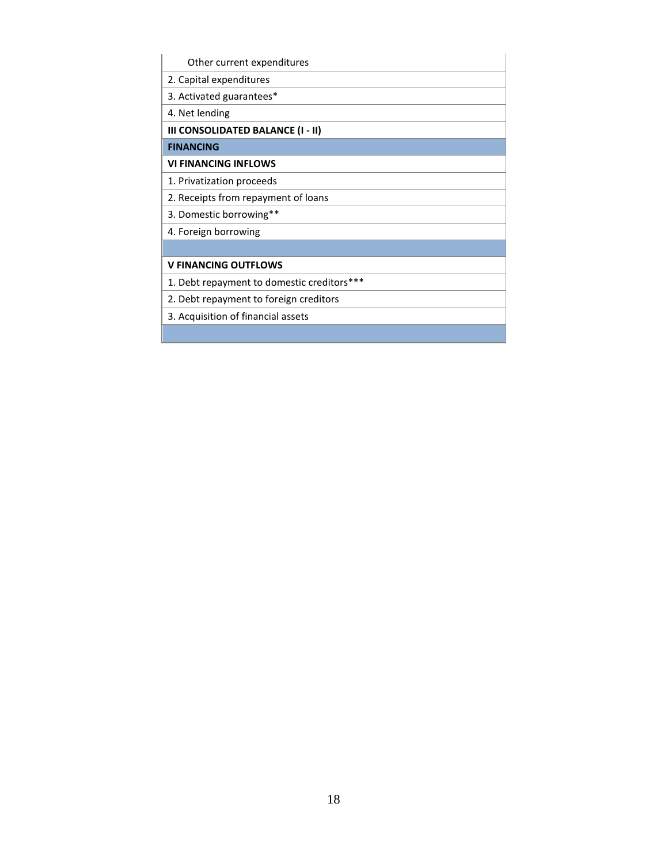| Other current expenditures                 |
|--------------------------------------------|
| 2. Capital expenditures                    |
| 3. Activated guarantees*                   |
| 4. Net lending                             |
| <b>III CONSOLIDATED BALANCE (I - II)</b>   |
| <b>FINANCING</b>                           |
| <b>VI FINANCING INFLOWS</b>                |
| 1. Privatization proceeds                  |
| 2. Receipts from repayment of loans        |
| 3. Domestic borrowing**                    |
| 4. Foreign borrowing                       |
|                                            |
| <b>V FINANCING OUTFLOWS</b>                |
| 1. Debt repayment to domestic creditors*** |
| 2. Debt repayment to foreign creditors     |
| 3. Acquisition of financial assets         |
|                                            |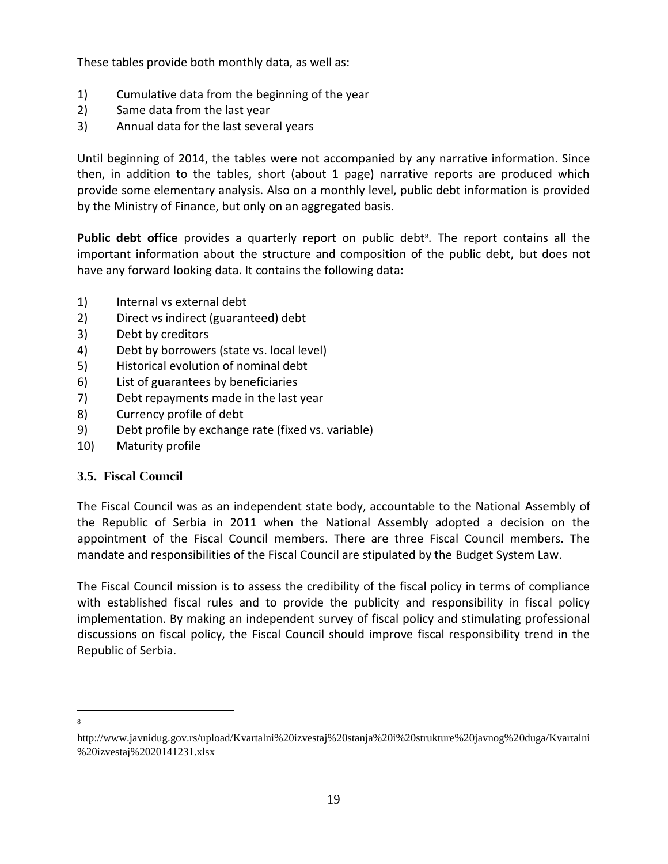These tables provide both monthly data, as well as:

- 1) Cumulative data from the beginning of the year
- 2) Same data from the last year
- 3) Annual data for the last several years

Until beginning of 2014, the tables were not accompanied by any narrative information. Since then, in addition to the tables, short (about 1 page) narrative reports are produced which provide some elementary analysis. Also on a monthly level, public debt information is provided by the Ministry of Finance, but only on an aggregated basis.

Public debt office provides a quarterly report on public debt<sup>8</sup>. The report contains all the important information about the structure and composition of the public debt, but does not have any forward looking data. It contains the following data:

- 1) Internal vs external debt
- 2) Direct vs indirect (guaranteed) debt
- 3) Debt by creditors
- 4) Debt by borrowers (state vs. local level)
- 5) Historical evolution of nominal debt
- 6) List of guarantees by beneficiaries
- 7) Debt repayments made in the last year
- 8) Currency profile of debt
- 9) Debt profile by exchange rate (fixed vs. variable)
- 10) Maturity profile

### <span id="page-18-0"></span>**3.5. Fiscal Council**

The Fiscal Council was as an independent state body, accountable to the National Assembly of the Republic of Serbia in 2011 when the National Assembly adopted a decision on the appointment of the Fiscal Council members. There are three Fiscal Council members. The mandate and responsibilities of the Fiscal Council are stipulated by the Budget System Law.

The Fiscal Council mission is to assess the credibility of the fiscal policy in terms of compliance with established fiscal rules and to provide the publicity and responsibility in fiscal policy implementation. By making an independent survey of fiscal policy and stimulating professional discussions on fiscal policy, the Fiscal Council should improve fiscal responsibility trend in the Republic of Serbia.

http://www.javnidug.gov.rs/upload/Kvartalni%20izvestaj%20stanja%20i%20strukture%20javnog%20duga/Kvartalni %20izvestaj%2020141231.xlsx